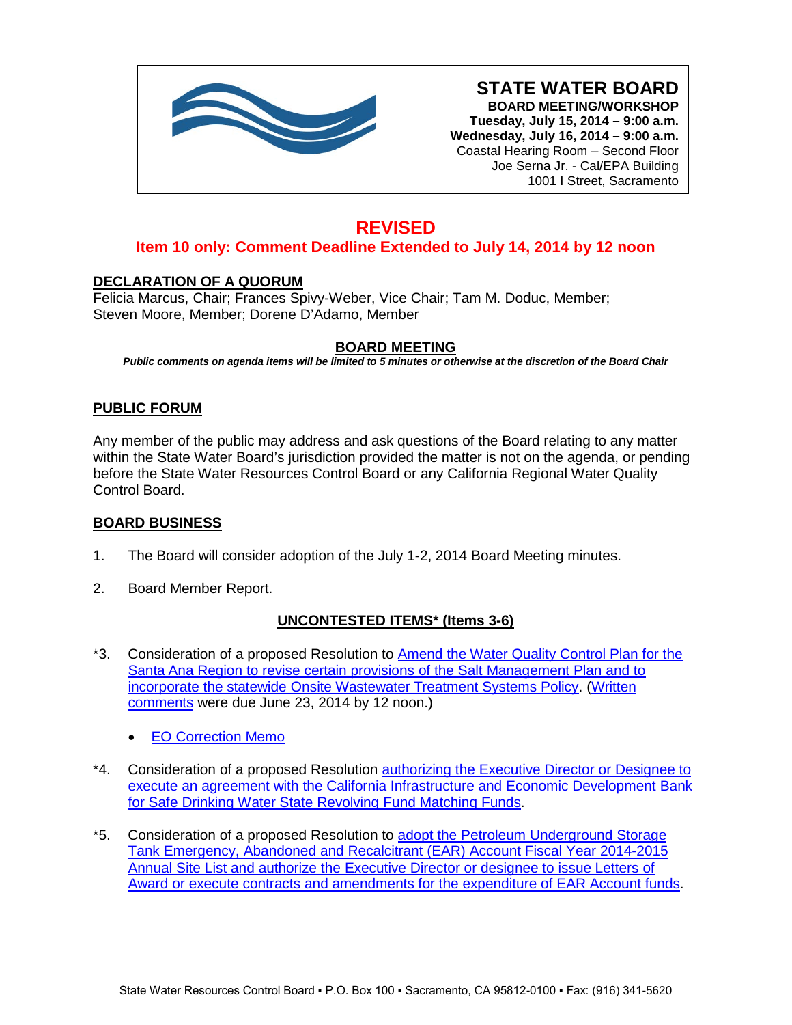

**STATE WATER BOARD BOARD MEETING/WORKSHOP Tuesday, July 15, 2014 – 9:00 a.m. Wednesday, July 16, 2014 – 9:00 a.m.** Coastal Hearing Room – Second Floor Joe Serna Jr. - Cal/EPA Building 1001 I Street, Sacramento

# **REVISED**

## **Item 10 only: Comment Deadline Extended to July 14, 2014 by 12 noon**

## **DECLARATION OF A QUORUM**

Felicia Marcus, Chair; Frances Spivy-Weber, Vice Chair; Tam M. Doduc, Member; Steven Moore, Member; Dorene D'Adamo, Member

## **BOARD MEETING**

*Public comments on agenda items will be limited to 5 minutes or otherwise at the discretion of the Board Chair*

## **PUBLIC FORUM**

Any member of the public may address and ask questions of the Board relating to any matter within the State Water Board's jurisdiction provided the matter is not on the agenda, or pending before the State Water Resources Control Board or any California Regional Water Quality Control Board.

## **BOARD BUSINESS**

- 1. The Board will consider adoption of the July 1-2, 2014 Board Meeting minutes.
- 2. Board Member Report.

## **UNCONTESTED ITEMS\* (Items 3-6)**

- \*3. Consideration of a proposed Resolution to **Amend the Water Quality Control Plan for the** [Santa Ana Region to revise certain provisions of the Salt Management Plan and to](http://www.waterboards.ca.gov/board_info/agendas/2014/jul/071514_3.pdf)  [incorporate the statewide Onsite Wastewater Treatment Systems Policy.](http://www.waterboards.ca.gov/board_info/agendas/2014/jul/071514_3.pdf) [\(Written](http://www.waterboards.ca.gov/public_notices/comments/rb8/salt_mgmt/index.shtml)  [comments](http://www.waterboards.ca.gov/public_notices/comments/rb8/salt_mgmt/index.shtml) were due June 23, 2014 by 12 noon.)
	- [EO Correction Memo](http://www.waterboards.ca.gov/board_info/agendas/2014/jul/071514_3_eo_correction_memo.pdf)
- \*4. Consideration of a proposed Resolution [authorizing the Executive Director or Designee to](http://www.waterboards.ca.gov/board_info/agendas/2014/jul/071514_4.pdf)  execute an agreement with the California Infrastructure and Economic Development Bank [for Safe Drinking Water State Revolving Fund Matching Funds.](http://www.waterboards.ca.gov/board_info/agendas/2014/jul/071514_4.pdf)
- \*5. Consideration of a proposed Resolution to [adopt the Petroleum Underground Storage](http://www.waterboards.ca.gov/board_info/agendas/2014/jul/071514_5.pdf)  [Tank Emergency, Abandoned and Recalcitrant \(EAR\) Account Fiscal Year](http://www.waterboards.ca.gov/board_info/agendas/2014/jul/071514_5.pdf) 2014-2015 Annual Site List and authorize the [Executive Director or designee to issue Letters of](http://www.waterboards.ca.gov/board_info/agendas/2014/jul/071514_5.pdf)  [Award or execute contracts and amendments for the expenditure of](http://www.waterboards.ca.gov/board_info/agendas/2014/jul/071514_5.pdf) EAR Account funds.